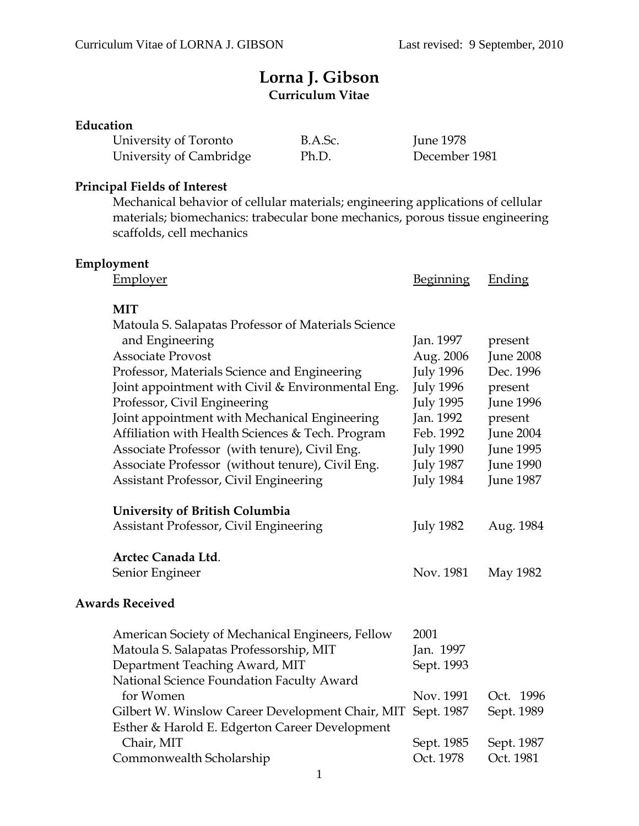# **Lorna J. Gibson Curriculum Vitae**

## **Education**

| University of Toronto   | B.A.Sc. | June 1978     |
|-------------------------|---------|---------------|
| University of Cambridge | Ph.D.   | December 1981 |

## **Principal Fields of Interest**

Mechanical behavior of cellular materials; engineering applications of cellular materials; biomechanics: trabecular bone mechanics, porous tissue engineering scaffolds, cell mechanics

| Employment                                          |                  |                  |
|-----------------------------------------------------|------------------|------------------|
| <b>Employer</b>                                     | <b>Beginning</b> | <b>Ending</b>    |
|                                                     |                  |                  |
| <b>MIT</b>                                          |                  |                  |
| Matoula S. Salapatas Professor of Materials Science |                  |                  |
| and Engineering                                     | Jan. 1997        | present          |
| <b>Associate Provost</b>                            | Aug. 2006        | <b>June 2008</b> |
| Professor, Materials Science and Engineering        | <b>July 1996</b> | Dec. 1996        |
| Joint appointment with Civil & Environmental Eng.   | <b>July 1996</b> | present          |
| Professor, Civil Engineering                        | <b>July 1995</b> | <b>June 1996</b> |
| Joint appointment with Mechanical Engineering       | Jan. 1992        | present          |
| Affiliation with Health Sciences & Tech. Program    | Feb. 1992        | <b>June 2004</b> |
| Associate Professor (with tenure), Civil Eng.       | <b>July 1990</b> | June 1995        |
| Associate Professor (without tenure), Civil Eng.    | <b>July 1987</b> | <b>June 1990</b> |
| Assistant Professor, Civil Engineering              | <b>July 1984</b> | <b>June 1987</b> |
| University of British Columbia                      |                  |                  |
| Assistant Professor, Civil Engineering              | <b>July 1982</b> | Aug. 1984        |
|                                                     |                  |                  |
| Arctec Canada Ltd.                                  |                  |                  |
| Senior Engineer                                     | Nov. 1981        | May 1982         |
| <b>Awards Received</b>                              |                  |                  |
| American Society of Mechanical Engineers, Fellow    | 2001             |                  |
| Matoula S. Salapatas Professorship, MIT             | Jan. 1997        |                  |
| Department Teaching Award, MIT                      | Sept. 1993       |                  |
| National Science Foundation Faculty Award           |                  |                  |
| for Women                                           | Nov. 1991        | Oct. 1996        |
| Gilbert W. Winslow Career Development Chair, MIT    | Sept. 1987       | Sept. 1989       |
| Esther & Harold E. Edgerton Career Development      |                  |                  |
| Chair, MIT                                          | Sept. 1985       | Sept. 1987       |
| Commonwealth Scholarship                            | Oct. 1978        | Oct. 1981        |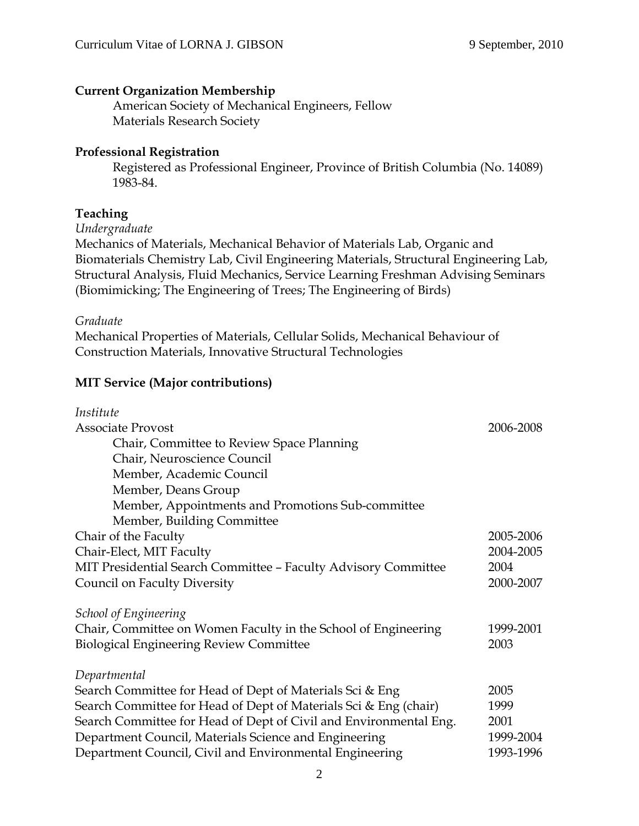#### **Current Organization Membership**

 American Society of Mechanical Engineers, Fellow Materials Research Society

#### **Professional Registration**

Registered as Professional Engineer, Province of British Columbia (No. 14089) 1983-84.

### **Teaching**

*Undergraduate*

Mechanics of Materials, Mechanical Behavior of Materials Lab, Organic and Biomaterials Chemistry Lab, Civil Engineering Materials, Structural Engineering Lab, Structural Analysis, Fluid Mechanics, Service Learning Freshman Advising Seminars (Biomimicking; The Engineering of Trees; The Engineering of Birds)

#### *Graduate*

Mechanical Properties of Materials, Cellular Solids, Mechanical Behaviour of Construction Materials, Innovative Structural Technologies

#### **MIT Service (Major contributions)**

| Institute                                                         |           |
|-------------------------------------------------------------------|-----------|
| <b>Associate Provost</b>                                          | 2006-2008 |
| Chair, Committee to Review Space Planning                         |           |
| Chair, Neuroscience Council                                       |           |
| Member, Academic Council                                          |           |
| Member, Deans Group                                               |           |
| Member, Appointments and Promotions Sub-committee                 |           |
| Member, Building Committee                                        |           |
| Chair of the Faculty                                              | 2005-2006 |
| Chair-Elect, MIT Faculty                                          | 2004-2005 |
| MIT Presidential Search Committee - Faculty Advisory Committee    | 2004      |
| Council on Faculty Diversity                                      | 2000-2007 |
| <b>School of Engineering</b>                                      |           |
| Chair, Committee on Women Faculty in the School of Engineering    | 1999-2001 |
| <b>Biological Engineering Review Committee</b>                    | 2003      |
|                                                                   |           |
| Departmental                                                      |           |
| Search Committee for Head of Dept of Materials Sci & Eng          | 2005      |
| Search Committee for Head of Dept of Materials Sci & Eng (chair)  | 1999      |
| Search Committee for Head of Dept of Civil and Environmental Eng. | 2001      |
| Department Council, Materials Science and Engineering             | 1999-2004 |
| Department Council, Civil and Environmental Engineering           | 1993-1996 |
|                                                                   |           |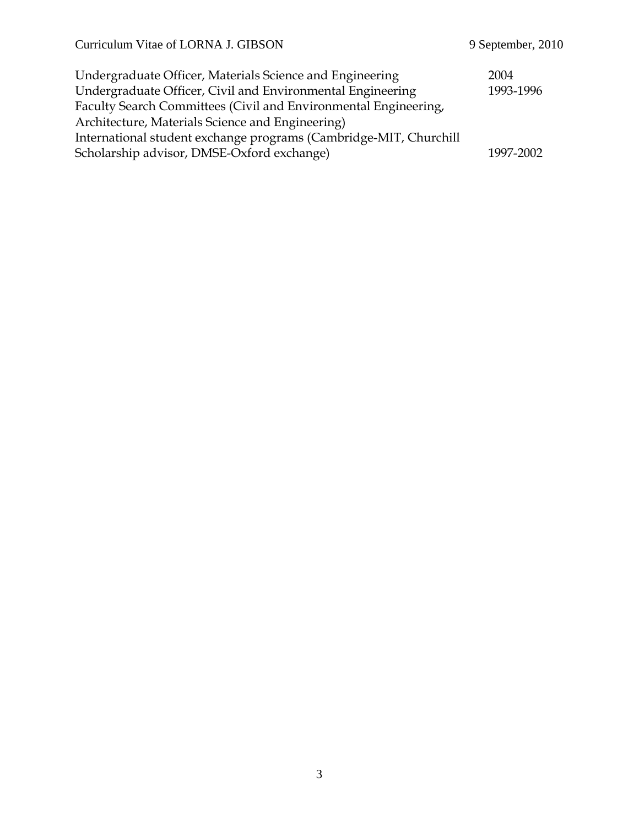| Undergraduate Officer, Materials Science and Engineering          | 2004      |
|-------------------------------------------------------------------|-----------|
| Undergraduate Officer, Civil and Environmental Engineering        | 1993-1996 |
| Faculty Search Committees (Civil and Environmental Engineering,   |           |
| Architecture, Materials Science and Engineering)                  |           |
| International student exchange programs (Cambridge-MIT, Churchill |           |
| Scholarship advisor, DMSE-Oxford exchange)                        | 1997-2002 |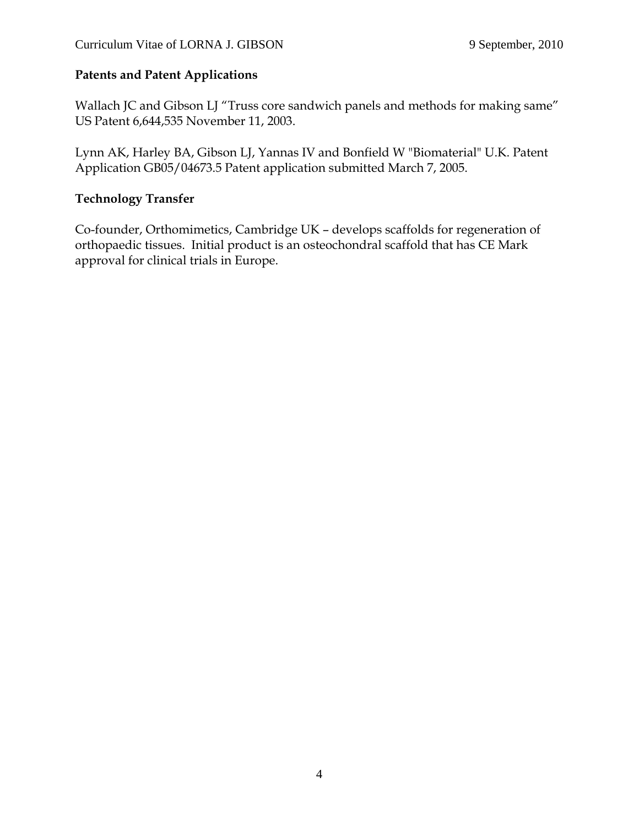## **Patents and Patent Applications**

Wallach JC and Gibson LJ "Truss core sandwich panels and methods for making same" US Patent 6,644,535 November 11, 2003.

Lynn AK, Harley BA, Gibson LJ, Yannas IV and Bonfield W "Biomaterial" U.K. Patent Application GB05/04673.5 Patent application submitted March 7, 2005.

## **Technology Transfer**

Co-founder, Orthomimetics, Cambridge UK – develops scaffolds for regeneration of orthopaedic tissues. Initial product is an osteochondral scaffold that has CE Mark approval for clinical trials in Europe.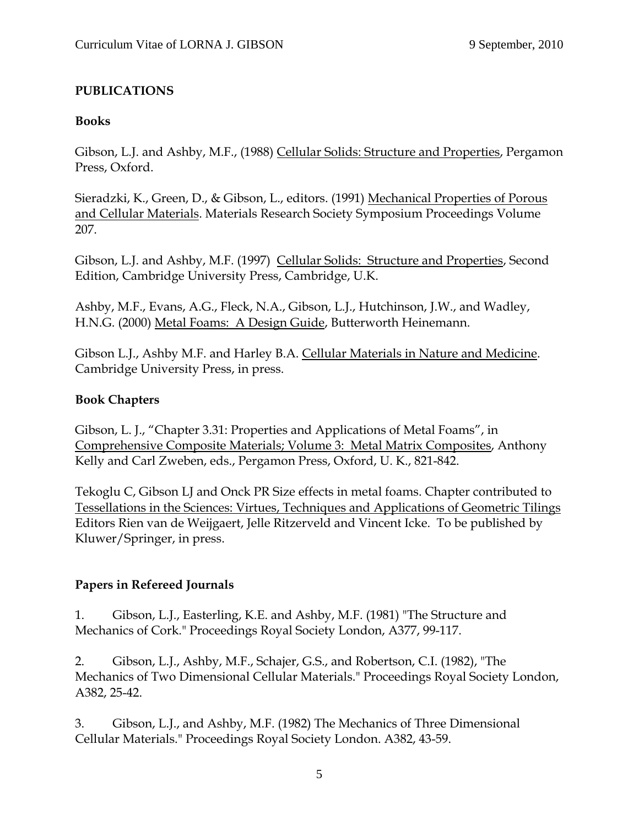## **PUBLICATIONS**

## **Books**

Gibson, L.J. and Ashby, M.F., (1988) Cellular Solids: Structure and Properties, Pergamon Press, Oxford.

Sieradzki, K., Green, D., & Gibson, L., editors. (1991) Mechanical Properties of Porous and Cellular Materials. Materials Research Society Symposium Proceedings Volume 207.

Gibson, L.J. and Ashby, M.F. (1997) Cellular Solids: Structure and Properties, Second Edition, Cambridge University Press, Cambridge, U.K.

Ashby, M.F., Evans, A.G., Fleck, N.A., Gibson, L.J., Hutchinson, J.W., and Wadley, H.N.G. (2000) Metal Foams: A Design Guide, Butterworth Heinemann.

Gibson L.J., Ashby M.F. and Harley B.A. Cellular Materials in Nature and Medicine. Cambridge University Press, in press.

## **Book Chapters**

Gibson, L. J., "Chapter 3.31: Properties and Applications of Metal Foams", in Comprehensive Composite Materials; Volume 3: Metal Matrix Composites, Anthony Kelly and Carl Zweben, eds., Pergamon Press, Oxford, U. K., 821-842.

Tekoglu C, Gibson LJ and Onck PR Size effects in metal foams. Chapter contributed to Tessellations in the Sciences: Virtues, Techniques and Applications of Geometric Tilings Editors Rien van de Weijgaert, Jelle Ritzerveld and Vincent Icke. To be published by Kluwer/Springer, in press.

## **Papers in Refereed Journals**

1. Gibson, L.J., Easterling, K.E. and Ashby, M.F. (1981) "The Structure and Mechanics of Cork." Proceedings Royal Society London, A377, 99-117.

2. Gibson, L.J., Ashby, M.F., Schajer, G.S., and Robertson, C.I. (1982), "The Mechanics of Two Dimensional Cellular Materials." Proceedings Royal Society London, A382, 25-42.

3. Gibson, L.J., and Ashby, M.F. (1982) The Mechanics of Three Dimensional Cellular Materials." Proceedings Royal Society London. A382, 43-59.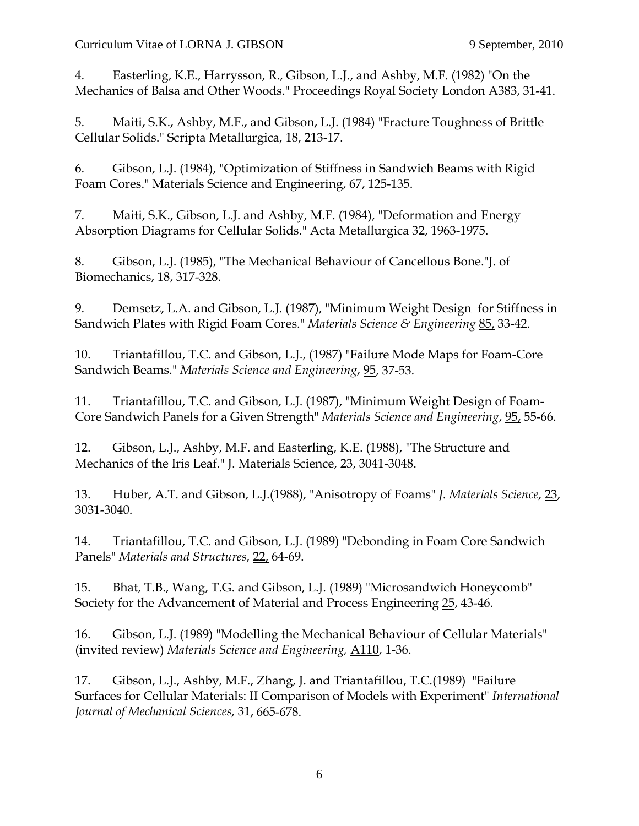4. Easterling, K.E., Harrysson, R., Gibson, L.J., and Ashby, M.F. (1982) "On the Mechanics of Balsa and Other Woods." Proceedings Royal Society London A383, 31-41.

5. Maiti, S.K., Ashby, M.F., and Gibson, L.J. (1984) "Fracture Toughness of Brittle Cellular Solids." Scripta Metallurgica, 18, 213-17.

6. Gibson, L.J. (1984), "Optimization of Stiffness in Sandwich Beams with Rigid Foam Cores." Materials Science and Engineering, 67, 125-135.

7. Maiti, S.K., Gibson, L.J. and Ashby, M.F. (1984), "Deformation and Energy Absorption Diagrams for Cellular Solids." Acta Metallurgica 32, 1963-1975.

8. Gibson, L.J. (1985), "The Mechanical Behaviour of Cancellous Bone."J. of Biomechanics, 18, 317-328.

9. Demsetz, L.A. and Gibson, L.J. (1987), "Minimum Weight Design for Stiffness in Sandwich Plates with Rigid Foam Cores." *Materials Science & Engineering* 85, 33-42.

10. Triantafillou, T.C. and Gibson, L.J., (1987) "Failure Mode Maps for Foam-Core Sandwich Beams." *Materials Science and Engineering*, 95, 37-53.

11. Triantafillou, T.C. and Gibson, L.J. (1987), "Minimum Weight Design of Foam-Core Sandwich Panels for a Given Strength" *Materials Science and Engineering*, 95, 55-66.

12. Gibson, L.J., Ashby, M.F. and Easterling, K.E. (1988), "The Structure and Mechanics of the Iris Leaf." J. Materials Science, 23, 3041-3048.

13. Huber, A.T. and Gibson, L.J.(1988), "Anisotropy of Foams" *J. Materials Science*, 23, 3031-3040.

14. Triantafillou, T.C. and Gibson, L.J. (1989) "Debonding in Foam Core Sandwich Panels" *Materials and Structures*, 22, 64-69.

15. Bhat, T.B., Wang, T.G. and Gibson, L.J. (1989) "Microsandwich Honeycomb" Society for the Advancement of Material and Process Engineering 25, 43-46.

16. Gibson, L.J. (1989) "Modelling the Mechanical Behaviour of Cellular Materials" (invited review) *Materials Science and Engineering,* A110, 1-36.

17. Gibson, L.J., Ashby, M.F., Zhang, J. and Triantafillou, T.C.(1989) "Failure Surfaces for Cellular Materials: II Comparison of Models with Experiment" *International Journal of Mechanical Sciences*, 31, 665-678.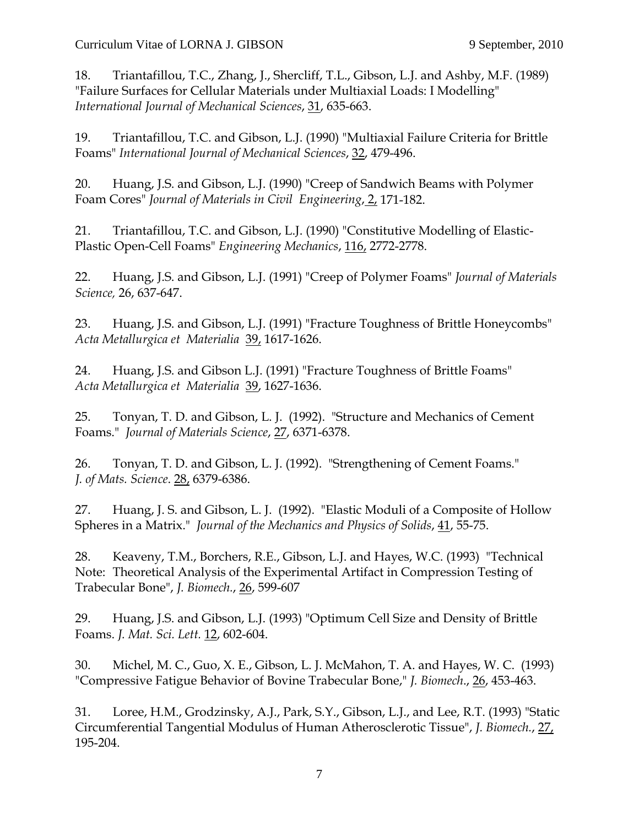18. Triantafillou, T.C., Zhang, J., Shercliff, T.L., Gibson, L.J. and Ashby, M.F. (1989) "Failure Surfaces for Cellular Materials under Multiaxial Loads: I Modelling" *International Journal of Mechanical Sciences*, 31, 635-663.

19. Triantafillou, T.C. and Gibson, L.J. (1990) "Multiaxial Failure Criteria for Brittle Foams" *International Journal of Mechanical Sciences*, 32, 479-496.

20. Huang, J.S. and Gibson, L.J. (1990) "Creep of Sandwich Beams with Polymer Foam Cores" *Journal of Materials in Civil Engineering*, 2, 171-182.

21. Triantafillou, T.C. and Gibson, L.J. (1990) "Constitutive Modelling of Elastic-Plastic Open-Cell Foams" *Engineering Mechanics*, 116, 2772-2778.

22. Huang, J.S. and Gibson, L.J. (1991) "Creep of Polymer Foams" *Journal of Materials Science,* 26, 637-647.

23. Huang, J.S. and Gibson, L.J. (1991) "Fracture Toughness of Brittle Honeycombs" *Acta Metallurgica et Materialia* 39, 1617-1626.

24. Huang, J.S. and Gibson L.J. (1991) "Fracture Toughness of Brittle Foams" *Acta Metallurgica et Materialia* 39, 1627-1636.

25. Tonyan, T. D. and Gibson, L. J. (1992). "Structure and Mechanics of Cement Foams." *Journal of Materials Science*, 27, 6371-6378.

26. Tonyan, T. D. and Gibson, L. J. (1992). "Strengthening of Cement Foams." *J. of Mats. Science*. 28, 6379-6386.

27. Huang, J. S. and Gibson, L. J. (1992). "Elastic Moduli of a Composite of Hollow Spheres in a Matrix." *Journal of the Mechanics and Physics of Solids*, 41, 55-75.

28. Keaveny, T.M., Borchers, R.E., Gibson, L.J. and Hayes, W.C. (1993) "Technical Note: Theoretical Analysis of the Experimental Artifact in Compression Testing of Trabecular Bone", *J. Biomech.*, 26, 599-607

29. Huang, J.S. and Gibson, L.J. (1993) "Optimum Cell Size and Density of Brittle Foams. *J. Mat. Sci. Lett.* 12, 602-604.

30. Michel, M. C., Guo, X. E., Gibson, L. J. McMahon, T. A. and Hayes, W. C. (1993) "Compressive Fatigue Behavior of Bovine Trabecular Bone," *J. Biomech*., 26, 453-463.

31. Loree, H.M., Grodzinsky, A.J., Park, S.Y., Gibson, L.J., and Lee, R.T. (1993) "Static Circumferential Tangential Modulus of Human Atherosclerotic Tissue", *J. Biomech.*, 27, 195-204.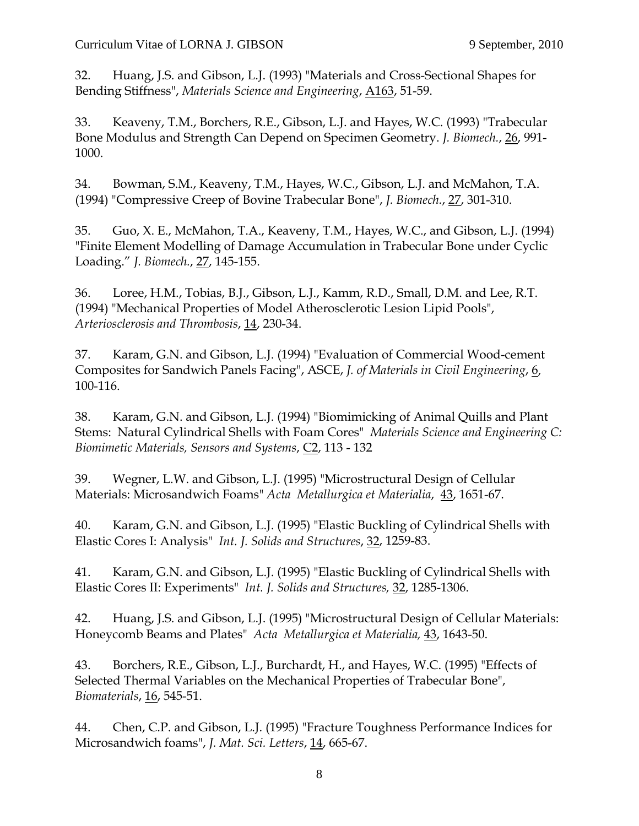32. Huang, J.S. and Gibson, L.J. (1993) "Materials and Cross-Sectional Shapes for Bending Stiffness", *Materials Science and Engineering*, A163, 51-59.

33. Keaveny, T.M., Borchers, R.E., Gibson, L.J. and Hayes, W.C. (1993) "Trabecular Bone Modulus and Strength Can Depend on Specimen Geometry. *J. Biomech.*, 26, 991- 1000.

34. Bowman, S.M., Keaveny, T.M., Hayes, W.C., Gibson, L.J. and McMahon, T.A. (1994) "Compressive Creep of Bovine Trabecular Bone", *J. Biomech.*, 27, 301-310.

35. Guo, X. E., McMahon, T.A., Keaveny, T.M., Hayes, W.C., and Gibson, L.J. (1994) "Finite Element Modelling of Damage Accumulation in Trabecular Bone under Cyclic Loading." *J. Biomech.*, 27, 145-155.

36. Loree, H.M., Tobias, B.J., Gibson, L.J., Kamm, R.D., Small, D.M. and Lee, R.T. (1994) "Mechanical Properties of Model Atherosclerotic Lesion Lipid Pools", *Arteriosclerosis and Thrombosis*, 14, 230-34.

37. Karam, G.N. and Gibson, L.J. (1994) "Evaluation of Commercial Wood-cement Composites for Sandwich Panels Facing", ASCE, *J. of Materials in Civil Engineering*, 6, 100-116.

38. Karam, G.N. and Gibson, L.J. (1994) "Biomimicking of Animal Quills and Plant Stems: Natural Cylindrical Shells with Foam Cores" *Materials Science and Engineering C: Biomimetic Materials, Sensors and Systems*, C2, 113 - 132

39. Wegner, L.W. and Gibson, L.J. (1995) "Microstructural Design of Cellular Materials: Microsandwich Foams" *Acta Metallurgica et Materialia*, 43, 1651-67.

40. Karam, G.N. and Gibson, L.J. (1995) "Elastic Buckling of Cylindrical Shells with Elastic Cores I: Analysis" *Int. J. Solids and Structures*, 32, 1259-83.

41. Karam, G.N. and Gibson, L.J. (1995) "Elastic Buckling of Cylindrical Shells with Elastic Cores II: Experiments" *Int. J. Solids and Structures,* 32, 1285-1306.

42. Huang, J.S. and Gibson, L.J. (1995) "Microstructural Design of Cellular Materials: Honeycomb Beams and Plates" *Acta Metallurgica et Materialia,* 43, 1643-50.

43. Borchers, R.E., Gibson, L.J., Burchardt, H., and Hayes, W.C. (1995) "Effects of Selected Thermal Variables on the Mechanical Properties of Trabecular Bone", *Biomaterials*, 16, 545-51.

44. Chen, C.P. and Gibson, L.J. (1995) "Fracture Toughness Performance Indices for Microsandwich foams", *J. Mat. Sci. Letters*, 14, 665-67.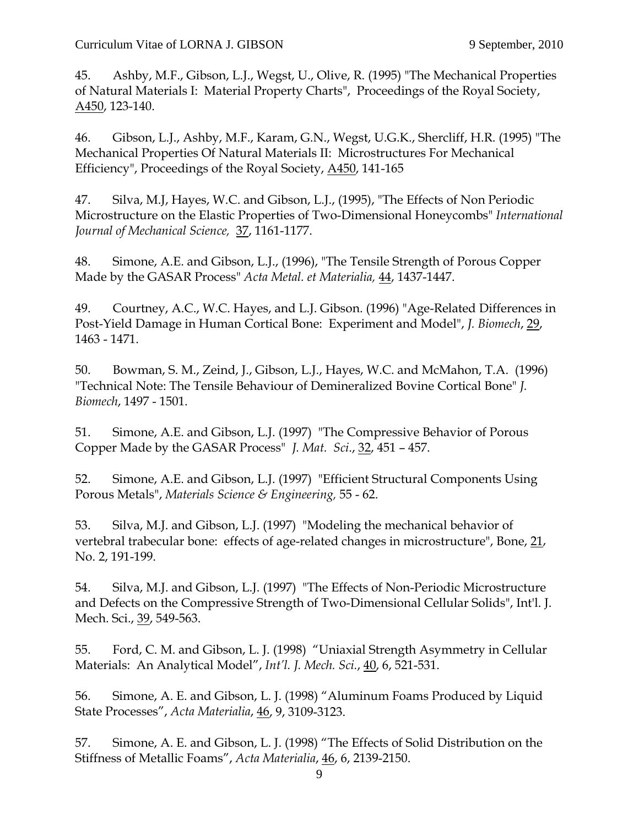45. Ashby, M.F., Gibson, L.J., Wegst, U., Olive, R. (1995) "The Mechanical Properties of Natural Materials I: Material Property Charts", Proceedings of the Royal Society, A450, 123-140.

46. Gibson, L.J., Ashby, M.F., Karam, G.N., Wegst, U.G.K., Shercliff, H.R. (1995) "The Mechanical Properties Of Natural Materials II: Microstructures For Mechanical Efficiency", Proceedings of the Royal Society, A450, 141-165

47. Silva, M.J, Hayes, W.C. and Gibson, L.J., (1995), "The Effects of Non Periodic Microstructure on the Elastic Properties of Two-Dimensional Honeycombs" *International Journal of Mechanical Science,* 37, 1161-1177.

48. Simone, A.E. and Gibson, L.J., (1996), "The Tensile Strength of Porous Copper Made by the GASAR Process" *Acta Metal. et Materialia,* 44, 1437-1447.

49. Courtney, A.C., W.C. Hayes, and L.J. Gibson. (1996) "Age-Related Differences in Post-Yield Damage in Human Cortical Bone: Experiment and Model", *J. Biomech*, 29, 1463 - 1471.

50. Bowman, S. M., Zeind, J., Gibson, L.J., Hayes, W.C. and McMahon, T.A. (1996) "Technical Note: The Tensile Behaviour of Demineralized Bovine Cortical Bone" *J. Biomech*, 1497 - 1501.

51. Simone, A.E. and Gibson, L.J. (1997) "The Compressive Behavior of Porous Copper Made by the GASAR Process" *J. Mat. Sci*., 32, 451 – 457.

52. Simone, A.E. and Gibson, L.J. (1997) "Efficient Structural Components Using Porous Metals", *Materials Science & Engineering,* 55 - 62.

53. Silva, M.J. and Gibson, L.J. (1997) "Modeling the mechanical behavior of vertebral trabecular bone: effects of age-related changes in microstructure", Bone, 21, No. 2, 191-199.

54. Silva, M.J. and Gibson, L.J. (1997) "The Effects of Non-Periodic Microstructure and Defects on the Compressive Strength of Two-Dimensional Cellular Solids", Int'l. J. Mech. Sci., 39, 549-563.

55. Ford, C. M. and Gibson, L. J. (1998) "Uniaxial Strength Asymmetry in Cellular Materials: An Analytical Model", *Int'l. J. Mech. Sci.*, 40, 6, 521-531.

56. Simone, A. E. and Gibson, L. J. (1998) "Aluminum Foams Produced by Liquid State Processes", *Acta Materialia*, 46, 9, 3109-3123.

57. Simone, A. E. and Gibson, L. J. (1998) "The Effects of Solid Distribution on the Stiffness of Metallic Foams", *Acta Materialia*, 46, 6, 2139-2150.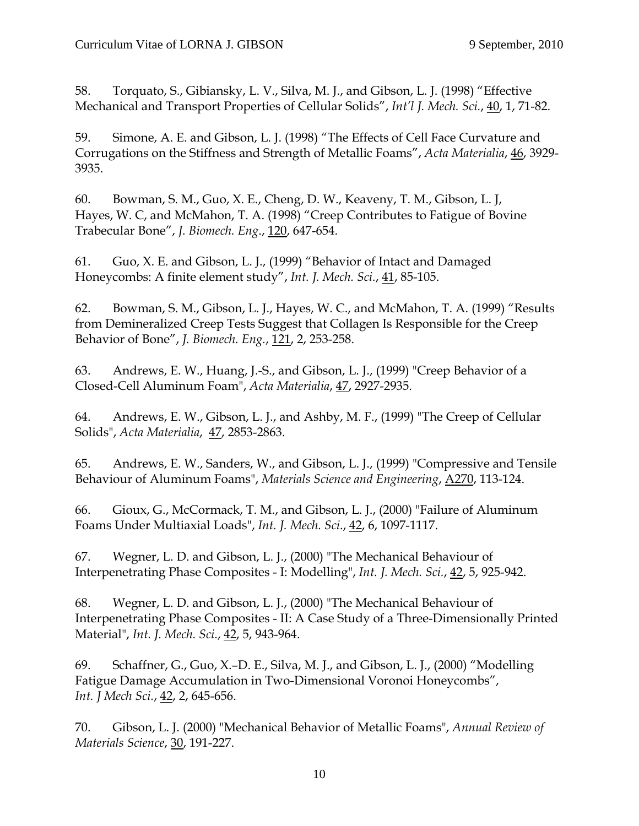58. Torquato, S., Gibiansky, L. V., Silva, M. J., and Gibson, L. J. (1998) "Effective Mechanical and Transport Properties of Cellular Solids", *Int'l J. Mech. Sci.*, 40, 1, 71-82.

59. Simone, A. E. and Gibson, L. J. (1998) "The Effects of Cell Face Curvature and Corrugations on the Stiffness and Strength of Metallic Foams", *Acta Materialia*, 46, 3929- 3935.

60. Bowman, S. M., Guo, X. E., Cheng, D. W., Keaveny, T. M., Gibson, L. J, Hayes, W. C, and McMahon, T. A. (1998) "Creep Contributes to Fatigue of Bovine Trabecular Bone", *J. Biomech. Eng*., 120, 647-654.

61. Guo, X. E. and Gibson, L. J., (1999) "Behavior of Intact and Damaged Honeycombs: A finite element study", *Int. J. Mech. Sci.*, 41, 85-105.

62. Bowman, S. M., Gibson, L. J., Hayes, W. C., and McMahon, T. A. (1999) "Results from Demineralized Creep Tests Suggest that Collagen Is Responsible for the Creep Behavior of Bone", *J. Biomech. Eng.*, 121, 2, 253-258.

63. Andrews, E. W., Huang, J.-S., and Gibson, L. J., (1999) "Creep Behavior of a Closed-Cell Aluminum Foam", *Acta Materialia*, 47, 2927-2935.

64. Andrews, E. W., Gibson, L. J., and Ashby, M. F., (1999) "The Creep of Cellular Solids", *Acta Materialia*, 47, 2853-2863.

65. Andrews, E. W., Sanders, W., and Gibson, L. J., (1999) "Compressive and Tensile Behaviour of Aluminum Foams", *Materials Science and Engineering*, A270, 113-124.

66. Gioux, G., McCormack, T. M., and Gibson, L. J., (2000) "Failure of Aluminum Foams Under Multiaxial Loads", *Int. J. Mech. Sci*., 42, 6, 1097-1117.

67. Wegner, L. D. and Gibson, L. J., (2000) "The Mechanical Behaviour of Interpenetrating Phase Composites - I: Modelling", *Int. J. Mech. Sci.*, 42, 5, 925-942.

68. Wegner, L. D. and Gibson, L. J., (2000) "The Mechanical Behaviour of Interpenetrating Phase Composites - II: A Case Study of a Three-Dimensionally Printed Material", *Int. J. Mech. Sci*., 42, 5, 943-964.

69. Schaffner, G., Guo, X.–D. E., Silva, M. J., and Gibson, L. J., (2000) "Modelling Fatigue Damage Accumulation in Two-Dimensional Voronoi Honeycombs", *Int. J Mech Sci.*, 42, 2, 645-656.

70. Gibson, L. J. (2000) "Mechanical Behavior of Metallic Foams", *Annual Review of Materials Science*, 30, 191-227.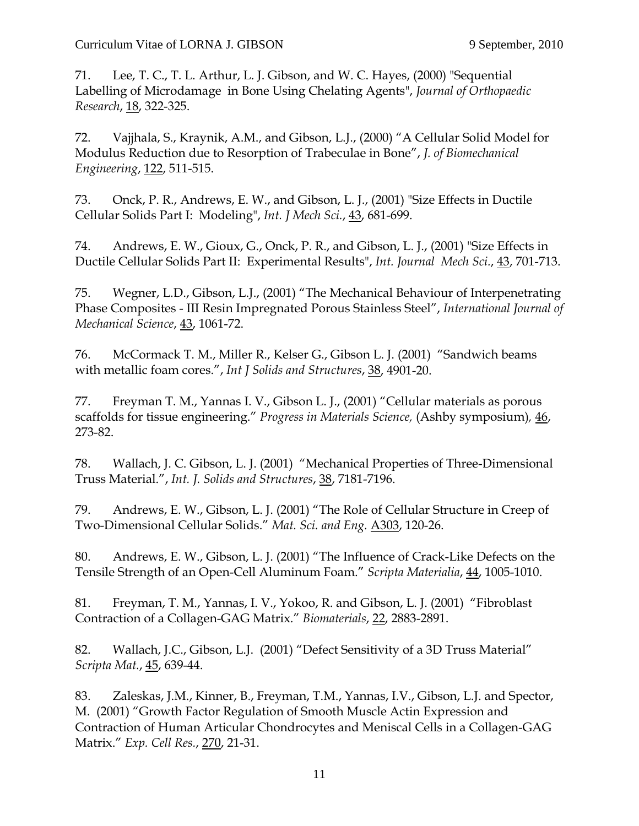71. Lee, T. C., T. L. Arthur, L. J. Gibson, and W. C. Hayes, (2000) "Sequential Labelling of Microdamage in Bone Using Chelating Agents", *Journal of Orthopaedic Research*, 18, 322-325.

72. Vajjhala, S., Kraynik, A.M., and Gibson, L.J., (2000) "A Cellular Solid Model for Modulus Reduction due to Resorption of Trabeculae in Bone", *J. of Biomechanical Engineering*, 122, 511-515.

73. Onck, P. R., Andrews, E. W., and Gibson, L. J., (2001) "Size Effects in Ductile Cellular Solids Part I: Modeling", *Int. J Mech Sci.*, 43, 681-699.

74. Andrews, E. W., Gioux, G., Onck, P. R., and Gibson, L. J., (2001) "Size Effects in Ductile Cellular Solids Part II: Experimental Results", *Int. Journal Mech Sci.*, 43, 701-713.

75. Wegner, L.D., Gibson, L.J., (2001) "The Mechanical Behaviour of Interpenetrating Phase Composites - III Resin Impregnated Porous Stainless Steel", *International Journal of Mechanical Science*, 43, 1061-72.

76. McCormack T. M., Miller R., Kelser G., Gibson L. J. (2001) "Sandwich beams with metallic foam cores.", *Int J Solids and Structures*, 38, 4901-20.

77. Freyman T. M., Yannas I. V., Gibson L. J., (2001) "Cellular materials as porous scaffolds for tissue engineering." *Progress in Materials Science,* (Ashby symposium)*,* 46, 273-82.

78. Wallach, J. C. Gibson, L. J. (2001) "Mechanical Properties of Three-Dimensional Truss Material.", *Int. J. Solids and Structures*, 38, 7181-7196.

79. Andrews, E. W., Gibson, L. J. (2001) "The Role of Cellular Structure in Creep of Two-Dimensional Cellular Solids." *Mat. Sci. and Eng.* A303, 120-26.

80. Andrews, E. W., Gibson, L. J. (2001) "The Influence of Crack-Like Defects on the Tensile Strength of an Open-Cell Aluminum Foam." *Scripta Materialia*, 44, 1005-1010.

81. Freyman, T. M., Yannas, I. V., Yokoo, R. and Gibson, L. J. (2001) "Fibroblast Contraction of a Collagen-GAG Matrix." *Biomaterials*, 22, 2883-2891.

82. Wallach, J.C., Gibson, L.J. (2001) "Defect Sensitivity of a 3D Truss Material" *Scripta Mat.*, 45, 639-44.

83. Zaleskas, J.M., Kinner, B., Freyman, T.M., Yannas, I.V., Gibson, L.J. and Spector, M. (2001) "Growth Factor Regulation of Smooth Muscle Actin Expression and Contraction of Human Articular Chondrocytes and Meniscal Cells in a Collagen-GAG Matrix." *Exp. Cell Res.*, 270, 21-31.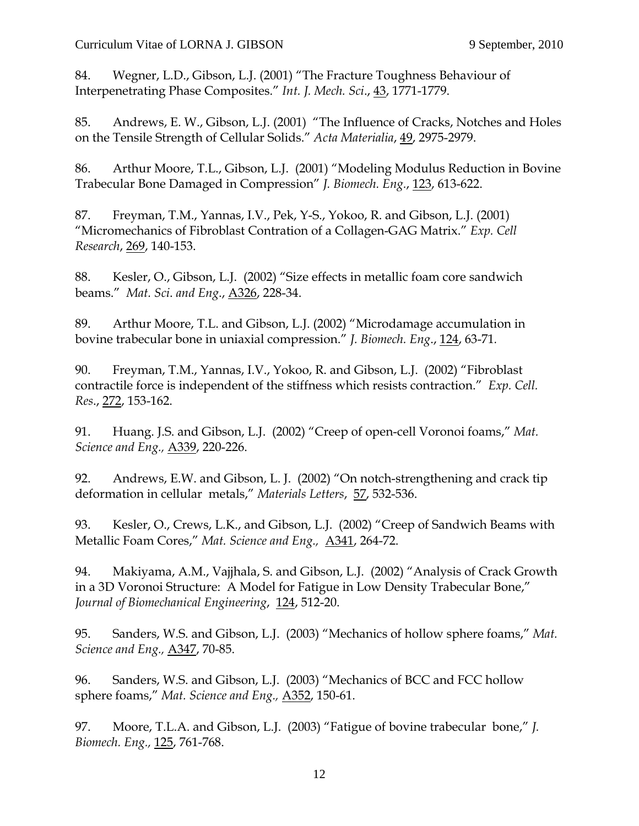84. Wegner, L.D., Gibson, L.J. (2001) "The Fracture Toughness Behaviour of Interpenetrating Phase Composites." *Int. J. Mech. Sci*., 43, 1771-1779.

85. Andrews, E. W., Gibson, L.J. (2001) "The Influence of Cracks, Notches and Holes on the Tensile Strength of Cellular Solids." *Acta Materialia*, 49, 2975-2979.

86. Arthur Moore, T.L., Gibson, L.J. (2001) "Modeling Modulus Reduction in Bovine Trabecular Bone Damaged in Compression" *J. Biomech. Eng.*, 123, 613-622.

87. Freyman, T.M., Yannas, I.V., Pek, Y-S., Yokoo, R. and Gibson, L.J. (2001) "Micromechanics of Fibroblast Contration of a Collagen-GAG Matrix." *Exp. Cell Research*, 269, 140-153.

88. Kesler, O., Gibson, L.J. (2002) "Size effects in metallic foam core sandwich beams." *Mat. Sci*. *and Eng*., A326, 228-34.

89. Arthur Moore, T.L. and Gibson, L.J. (2002) "Microdamage accumulation in bovine trabecular bone in uniaxial compression." *J. Biomech. Eng*., 124, 63-71*.* 

90. Freyman, T.M., Yannas, I.V., Yokoo, R. and Gibson, L.J. (2002) "Fibroblast contractile force is independent of the stiffness which resists contraction." *Exp. Cell. Res*., 272, 153-162.

91. Huang. J.S. and Gibson, L.J. (2002) "Creep of open-cell Voronoi foams," *Mat. Science and Eng.,* A339, 220-226.

92. Andrews, E.W. and Gibson, L. J. (2002) "On notch-strengthening and crack tip deformation in cellular metals," *Materials Letters*, 57, 532-536.

93. Kesler, O., Crews, L.K., and Gibson, L.J. (2002) "Creep of Sandwich Beams with Metallic Foam Cores," *Mat. Science and Eng.,* A341, 264-72.

94. Makiyama, A.M., Vajjhala, S. and Gibson, L.J. (2002) "Analysis of Crack Growth in a 3D Voronoi Structure: A Model for Fatigue in Low Density Trabecular Bone," *Journal of Biomechanical Engineering*, 124, 512-20.

95. Sanders, W.S. and Gibson, L.J. (2003) "Mechanics of hollow sphere foams," *Mat. Science and Eng.,* A347, 70-85.

96. Sanders, W.S. and Gibson, L.J. (2003) "Mechanics of BCC and FCC hollow sphere foams," *Mat. Science and Eng.,* A352, 150-61.

97. Moore, T.L.A. and Gibson, L.J. (2003) "Fatigue of bovine trabecular bone," *J. Biomech. Eng.,* 125, 761-768.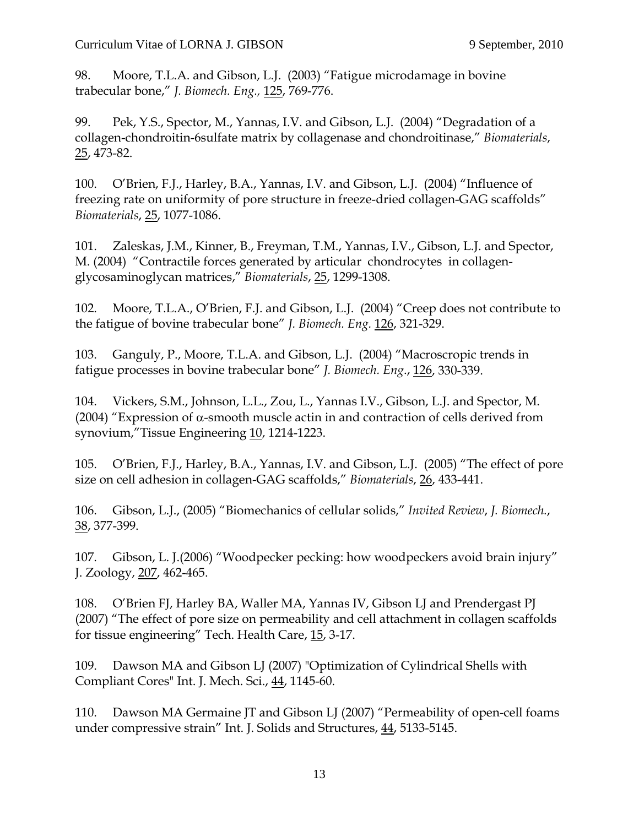98. Moore, T.L.A. and Gibson, L.J. (2003) "Fatigue microdamage in bovine trabecular bone," *J. Biomech. Eng.,* 125, 769-776.

99. Pek, Y.S., Spector, M., Yannas, I.V. and Gibson, L.J. (2004) "Degradation of a collagen-chondroitin-6sulfate matrix by collagenase and chondroitinase," *Biomaterials*, 25, 473-82.

100. O'Brien, F.J., Harley, B.A., Yannas, I.V. and Gibson, L.J. (2004) "Influence of freezing rate on uniformity of pore structure in freeze-dried collagen-GAG scaffolds" *Biomaterials*, 25, 1077-1086.

101. Zaleskas, J.M., Kinner, B., Freyman, T.M., Yannas, I.V., Gibson, L.J. and Spector, M. (2004) "Contractile forces generated by articular chondrocytes in collagenglycosaminoglycan matrices," *Biomaterials*, 25, 1299-1308.

102. Moore, T.L.A., O'Brien, F.J. and Gibson, L.J. (2004) "Creep does not contribute to the fatigue of bovine trabecular bone" *J. Biomech. Eng.* 126, 321-329.

103. Ganguly, P., Moore, T.L.A. and Gibson, L.J. (2004) "Macroscropic trends in fatigue processes in bovine trabecular bone" *J. Biomech. Eng*., 126, 330-339.

104. Vickers, S.M., Johnson, L.L., Zou, L., Yannas I.V., Gibson, L.J. and Spector, M. (2004) "Expression of  $\alpha$ -smooth muscle actin in and contraction of cells derived from synovium,"Tissue Engineering 10, 1214-1223.

105. O'Brien, F.J., Harley, B.A., Yannas, I.V. and Gibson, L.J. (2005) "The effect of pore size on cell adhesion in collagen-GAG scaffolds," *Biomaterials*, 26, 433-441.

106. Gibson, L.J., (2005) "Biomechanics of cellular solids," *Invited Review*, *J. Biomech.*, 38, 377-399.

107. Gibson, L. J.(2006) "Woodpecker pecking: how woodpeckers avoid brain injury" J. Zoology, 207, 462-465.

108. O'Brien FJ, Harley BA, Waller MA, Yannas IV, Gibson LJ and Prendergast PJ (2007) "The effect of pore size on permeability and cell attachment in collagen scaffolds for tissue engineering" Tech. Health Care, 15, 3-17.

109. Dawson MA and Gibson LJ (2007) "Optimization of Cylindrical Shells with Compliant Cores" Int. J. Mech. Sci., 44, 1145-60.

110. Dawson MA Germaine JT and Gibson LJ (2007) "Permeability of open-cell foams under compressive strain" Int. J. Solids and Structures, 44, 5133-5145.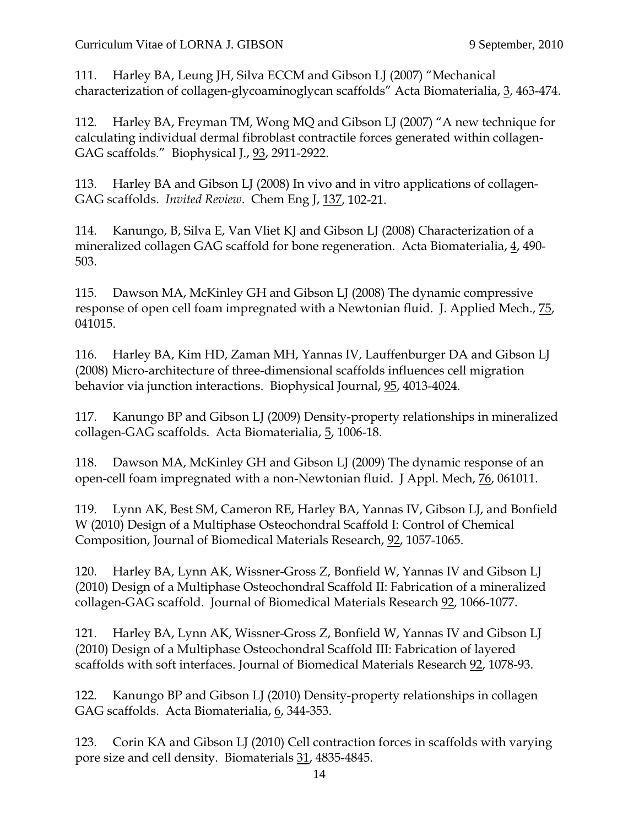111. Harley BA, Leung JH, Silva ECCM and Gibson LJ (2007) "Mechanical characterization of collagen-glycoaminoglycan scaffolds" Acta Biomaterialia, 3, 463-474.

112. Harley BA, Freyman TM, Wong MQ and Gibson LJ (2007) "A new technique for calculating individual dermal fibroblast contractile forces generated within collagen-GAG scaffolds." Biophysical J., 93, 2911-2922.

113. Harley BA and Gibson LJ (2008) In vivo and in vitro applications of collagen-GAG scaffolds. *Invited Review*. Chem Eng J, 137, 102-21.

114. Kanungo, B, Silva E, Van Vliet KJ and Gibson LJ (2008) Characterization of a mineralized collagen GAG scaffold for bone regeneration. Acta Biomaterialia, 4, 490- 503.

115. Dawson MA, McKinley GH and Gibson LJ (2008) The dynamic compressive response of open cell foam impregnated with a Newtonian fluid. J. Applied Mech., 75, 041015.

116. Harley BA, Kim HD, Zaman MH, Yannas IV, Lauffenburger DA and Gibson LJ (2008) Micro-architecture of three-dimensional scaffolds influences cell migration behavior via junction interactions. Biophysical Journal, 95, 4013-4024.

117. Kanungo BP and Gibson LJ (2009) Density-property relationships in mineralized collagen-GAG scaffolds. Acta Biomaterialia, 5, 1006-18.

118. Dawson MA, McKinley GH and Gibson LJ (2009) The dynamic response of an open-cell foam impregnated with a non-Newtonian fluid. J Appl. Mech, 76, 061011.

119. Lynn AK, Best SM, Cameron RE, Harley BA, Yannas IV, Gibson LJ, and Bonfield W (2010) Design of a Multiphase Osteochondral Scaffold I: Control of Chemical Composition, Journal of Biomedical Materials Research, 92, 1057-1065.

120. Harley BA, Lynn AK, Wissner-Gross Z, Bonfield W, Yannas IV and Gibson LJ (2010) Design of a Multiphase Osteochondral Scaffold II: Fabrication of a mineralized collagen-GAG scaffold. Journal of Biomedical Materials Research 92, 1066-1077.

121. Harley BA, Lynn AK, Wissner-Gross Z, Bonfield W, Yannas IV and Gibson LJ (2010) Design of a Multiphase Osteochondral Scaffold III: Fabrication of layered scaffolds with soft interfaces. Journal of Biomedical Materials Research 92, 1078-93.

122. Kanungo BP and Gibson LJ (2010) Density-property relationships in collagen GAG scaffolds. Acta Biomaterialia, 6, 344-353.

123. Corin KA and Gibson LJ (2010) Cell contraction forces in scaffolds with varying pore size and cell density. Biomaterials 31, 4835-4845.